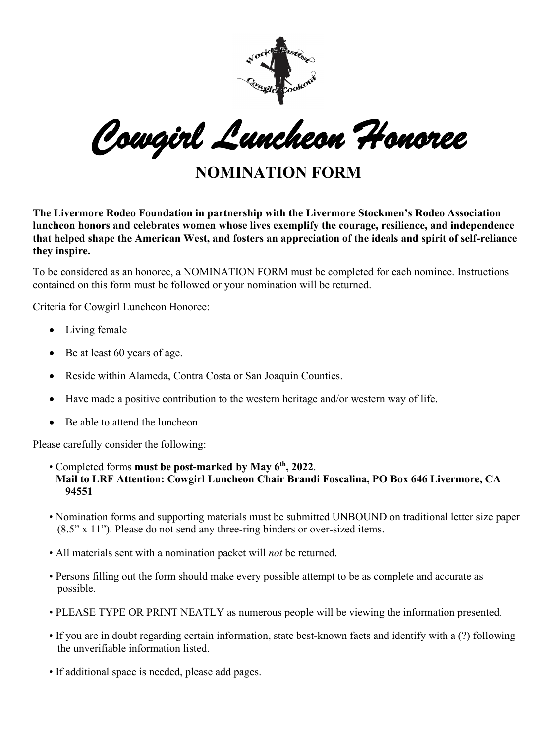

*Cowgirl Luncheon Honoree* 

**NOMINATION FORM** 

**The Livermore Rodeo Foundation in partnership with the Livermore Stockmen's Rodeo Association luncheon honors and celebrates women whose lives exemplify the courage, resilience, and independence that helped shape the American West, and fosters an appreciation of the ideals and spirit of self-reliance they inspire.** 

To be considered as an honoree, a NOMINATION FORM must be completed for each nominee. Instructions contained on this form must be followed or your nomination will be returned.

Criteria for Cowgirl Luncheon Honoree:

- Living female
- Be at least 60 years of age.
- Reside within Alameda, Contra Costa or San Joaquin Counties.
- Have made a positive contribution to the western heritage and/or western way of life.
- Be able to attend the luncheon

Please carefully consider the following:

- Completed forms **must be post-marked by May 6 th, 2022**. **Mail to LRF Attention: Cowgirl Luncheon Chair Brandi Foscalina, PO Box 646 Livermore, CA 94551**
- Nomination forms and supporting materials must be submitted UNBOUND on traditional letter size paper (8.5" x 11"). Please do not send any three-ring binders or over-sized items.
- All materials sent with a nomination packet will *not* be returned.
- Persons filling out the form should make every possible attempt to be as complete and accurate as possible.
- PLEASE TYPE OR PRINT NEATLY as numerous people will be viewing the information presented.
- If you are in doubt regarding certain information, state best-known facts and identify with a (?) following the unverifiable information listed.
- If additional space is needed, please add pages.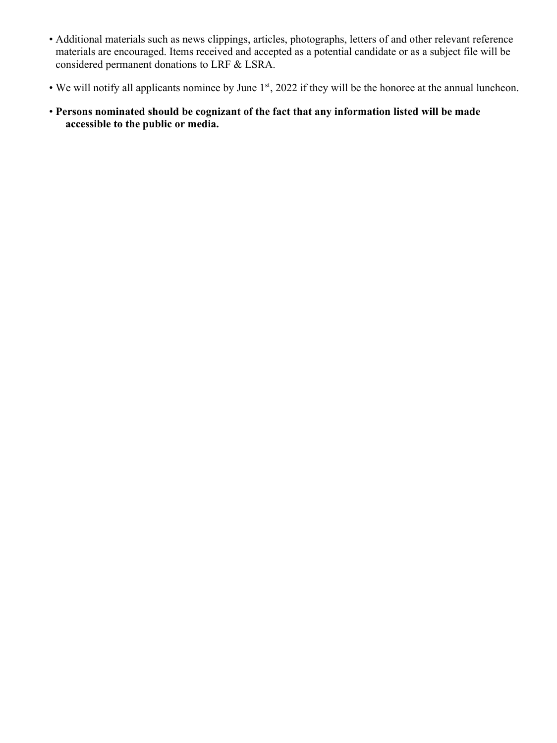- Additional materials such as news clippings, articles, photographs, letters of and other relevant reference materials are encouraged. Items received and accepted as a potential candidate or as a subject file will be considered permanent donations to LRF & LSRA.
- We will notify all applicants nominee by June 1<sup>st</sup>, 2022 if they will be the honoree at the annual luncheon.
- **Persons nominated should be cognizant of the fact that any information listed will be made accessible to the public or media.**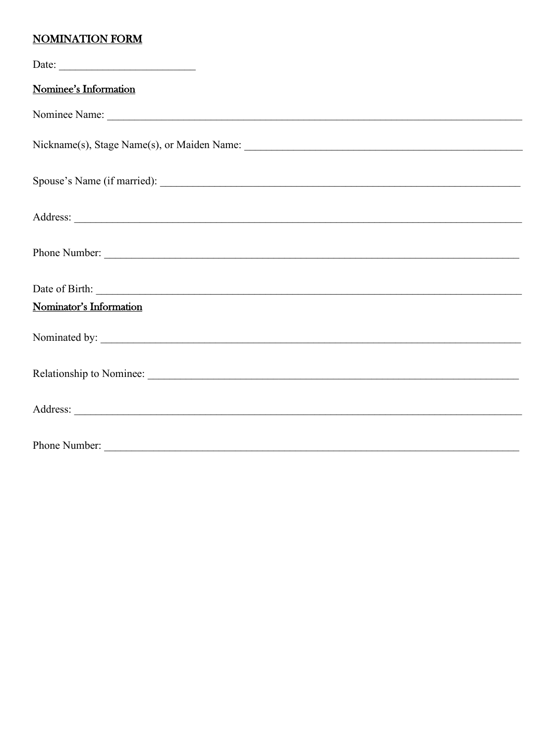## **NOMINATION FORM**

| Date: $\qquad \qquad$                                                                                                                                                                                                         |
|-------------------------------------------------------------------------------------------------------------------------------------------------------------------------------------------------------------------------------|
| Nominee's Information                                                                                                                                                                                                         |
| Nominee Name: 1000 Nominee Name: 1000 Nominee Name: 1000 Nominee Name: 1000 Nominee Name: 1000 Nominee Name: 1000 No. 1000 No. 1000 No. 1000 No. 1000 No. 1000 No. 1000 No. 1000 No. 1000 No. 1000 No. 1000 No. 1000 No. 1000 |
|                                                                                                                                                                                                                               |
|                                                                                                                                                                                                                               |
|                                                                                                                                                                                                                               |
|                                                                                                                                                                                                                               |
|                                                                                                                                                                                                                               |
| Nominator's Information                                                                                                                                                                                                       |
|                                                                                                                                                                                                                               |
|                                                                                                                                                                                                                               |
|                                                                                                                                                                                                                               |
| Phone Number:                                                                                                                                                                                                                 |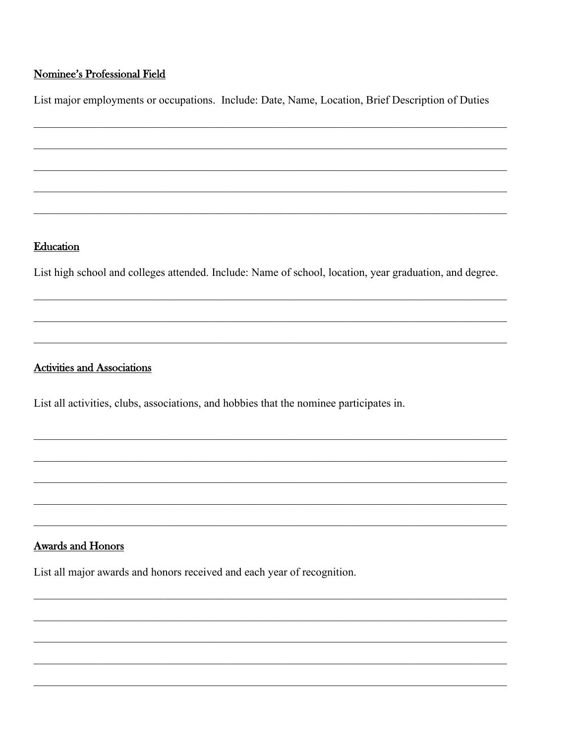#### **Nominee's Professional Field**

List major employments or occupations. Include: Date, Name, Location, Brief Description of Duties

#### Education

List high school and colleges attended. Include: Name of school, location, year graduation, and degree.

### **Activities and Associations**

List all activities, clubs, associations, and hobbies that the nominee participates in.

#### **Awards and Honors**

List all major awards and honors received and each year of recognition.